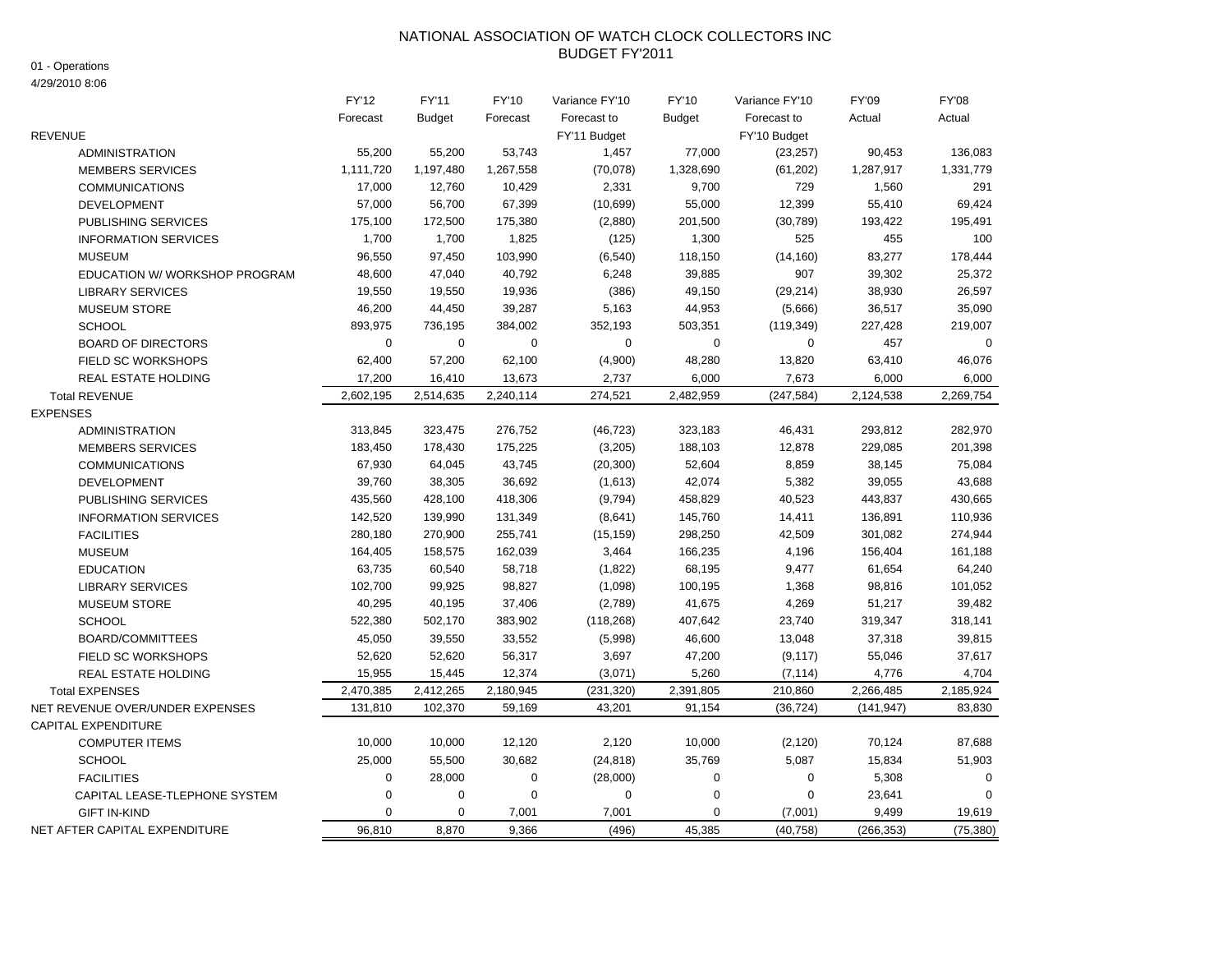## NATIONAL ASSOCIATION OF WATCH CLOCK COLLECTORS INC BUDGET FY'2011

01 - Operations

4/29/2010 8:06

|                                 | FY'12       | <b>FY'11</b> | <b>FY'10</b> | Variance FY'10 | FY'10         | Variance FY'10   | FY'09      | <b>FY'08</b> |
|---------------------------------|-------------|--------------|--------------|----------------|---------------|------------------|------------|--------------|
|                                 | Forecast    | Budget       | Forecast     | Forecast to    | <b>Budget</b> | Forecast to      | Actual     | Actual       |
| <b>REVENUE</b>                  |             |              |              | FY'11 Budget   |               | FY'10 Budget     |            |              |
| <b>ADMINISTRATION</b>           | 55,200      | 55,200       | 53,743       | 1,457          | 77,000        | (23, 257)        | 90,453     | 136,083      |
| <b>MEMBERS SERVICES</b>         | 1,111,720   | 1,197,480    | 1,267,558    | (70, 078)      | 1,328,690     | (61, 202)        | 1,287,917  | 1,331,779    |
| <b>COMMUNICATIONS</b>           | 17,000      | 12,760       | 10,429       | 2,331          | 9,700         | 729              | 1,560      | 291          |
| <b>DEVELOPMENT</b>              | 57,000      | 56,700       | 67,399       | (10, 699)      | 55,000        | 12,399           | 55,410     | 69,424       |
| PUBLISHING SERVICES             | 175,100     | 172,500      | 175,380      | (2,880)        | 201,500       | (30, 789)        | 193,422    | 195,491      |
| <b>INFORMATION SERVICES</b>     | 1,700       | 1,700        | 1,825        | (125)          | 1,300         | 525              | 455        | 100          |
| <b>MUSEUM</b>                   | 96,550      | 97,450       | 103,990      | (6, 540)       | 118,150       | (14, 160)        | 83,277     | 178,444      |
| EDUCATION W/ WORKSHOP PROGRAM   | 48,600      | 47,040       | 40,792       | 6,248          | 39,885        | 907              | 39,302     | 25,372       |
| <b>LIBRARY SERVICES</b>         | 19,550      | 19,550       | 19,936       | (386)          | 49,150        | (29, 214)        | 38,930     | 26,597       |
| <b>MUSEUM STORE</b>             | 46,200      | 44,450       | 39,287       | 5,163          | 44,953        | (5,666)          | 36,517     | 35,090       |
| <b>SCHOOL</b>                   | 893,975     | 736,195      | 384,002      | 352,193        | 503,351       | (119, 349)       | 227,428    | 219,007      |
| <b>BOARD OF DIRECTORS</b>       | $\mathbf 0$ | $\mathbf 0$  | $\mathbf 0$  | $\mathbf 0$    | $\mathbf 0$   | $\mathbf 0$      | 457        | $\mathbf 0$  |
| <b>FIELD SC WORKSHOPS</b>       | 62,400      | 57,200       | 62,100       | (4,900)        | 48,280        | 13,820           | 63,410     | 46,076       |
| <b>REAL ESTATE HOLDING</b>      | 17,200      | 16,410       | 13,673       | 2,737          | 6,000         | 7,673            | 6,000      | 6,000        |
| <b>Total REVENUE</b>            | 2,602,195   | 2,514,635    | 2,240,114    | 274,521        | 2,482,959     | (247, 584)       | 2,124,538  | 2,269,754    |
| <b>EXPENSES</b>                 |             |              |              |                |               |                  |            |              |
| <b>ADMINISTRATION</b>           | 313,845     | 323,475      | 276,752      | (46, 723)      | 323,183       | 46,431           | 293,812    | 282,970      |
| <b>MEMBERS SERVICES</b>         | 183,450     | 178,430      | 175,225      | (3,205)        | 188,103       | 12,878           | 229,085    | 201,398      |
| <b>COMMUNICATIONS</b>           | 67,930      | 64,045       | 43,745       | (20, 300)      | 52,604        | 8,859            | 38,145     | 75,084       |
| <b>DEVELOPMENT</b>              | 39,760      | 38,305       | 36,692       | (1,613)        | 42,074        | 5,382            | 39,055     | 43,688       |
| <b>PUBLISHING SERVICES</b>      | 435,560     | 428,100      | 418,306      | (9,794)        | 458,829       | 40,523           | 443,837    | 430,665      |
| <b>INFORMATION SERVICES</b>     | 142,520     | 139,990      | 131,349      | (8,641)        | 145,760       | 14,411           | 136,891    | 110,936      |
| <b>FACILITIES</b>               | 280,180     | 270,900      | 255,741      | (15, 159)      | 298,250       | 42,509           | 301,082    | 274,944      |
| <b>MUSEUM</b>                   | 164,405     | 158,575      | 162,039      | 3,464          | 166,235       | 4,196            | 156,404    | 161,188      |
| <b>EDUCATION</b>                | 63,735      | 60,540       | 58,718       | (1,822)        | 68,195        | 9,477            | 61,654     | 64,240       |
| <b>LIBRARY SERVICES</b>         | 102,700     | 99,925       | 98,827       | (1,098)        | 100,195       | 1,368            | 98,816     | 101,052      |
| <b>MUSEUM STORE</b>             | 40,295      | 40,195       | 37,406       | (2,789)        | 41,675        | 4,269            | 51,217     | 39,482       |
| <b>SCHOOL</b>                   | 522,380     | 502,170      | 383,902      | (118, 268)     | 407,642       | 23,740           | 319,347    | 318,141      |
| BOARD/COMMITTEES                | 45,050      | 39,550       | 33,552       | (5,998)        | 46,600        | 13,048           | 37,318     | 39,815       |
| <b>FIELD SC WORKSHOPS</b>       | 52,620      | 52,620       | 56,317       | 3,697          | 47,200        | (9, 117)         | 55,046     | 37,617       |
| <b>REAL ESTATE HOLDING</b>      | 15,955      | 15,445       | 12,374       | (3,071)        | 5,260         | (7, 114)         | 4,776      | 4,704        |
| <b>Total EXPENSES</b>           | 2,470,385   | 2,412,265    | 2,180,945    | (231, 320)     | 2,391,805     | 210,860          | 2,266,485  | 2,185,924    |
| NET REVENUE OVER/UNDER EXPENSES | 131,810     | 102,370      | 59,169       | 43,201         | 91,154        | (36, 724)        | (141, 947) | 83,830       |
| <b>CAPITAL EXPENDITURE</b>      |             |              |              |                |               |                  |            |              |
| <b>COMPUTER ITEMS</b>           | 10,000      | 10,000       | 12,120       | 2,120          | 10,000        | (2, 120)         | 70,124     | 87,688       |
| <b>SCHOOL</b>                   | 25,000      | 55,500       | 30,682       | (24, 818)      | 35,769        | 5,087            | 15,834     | 51,903       |
| <b>FACILITIES</b>               | 0           | 28,000       | 0            | (28,000)       | $\pmb{0}$     | $\boldsymbol{0}$ | 5,308      | 0            |
| CAPITAL LEASE-TLEPHONE SYSTEM   | $\Omega$    | $\mathbf 0$  | $\mathbf 0$  | $\mathbf 0$    | $\mathbf 0$   | $\mathbf 0$      | 23,641     | $\Omega$     |
| <b>GIFT IN-KIND</b>             | $\Omega$    | $\Omega$     | 7,001        | 7,001          | $\mathbf 0$   | (7,001)          | 9,499      | 19,619       |
| NET AFTER CAPITAL EXPENDITURE   | 96,810      | 8,870        | 9,366        | (496)          | 45,385        | (40, 758)        | (266, 353) | (75, 380)    |